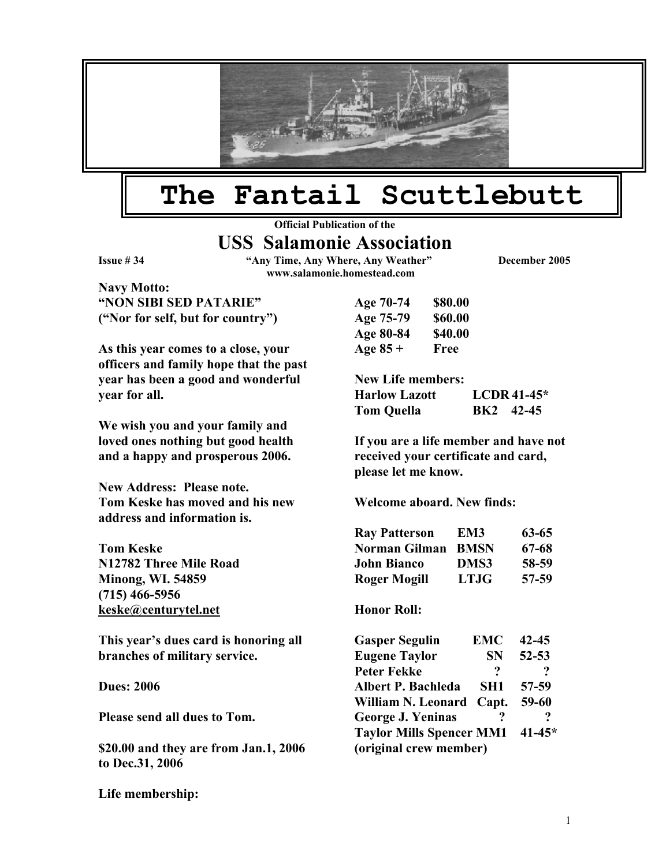

## **The Fantail Scuttlebutt**

**Official Publication of the** 

## **USS Salamonie Association**

**Issue # 34 "Any Time, Any Where, Any Weather" December 2005 www.salamonie.homestead.com**

**Navy Motto: "NON SIBI SED PATARIE"** A ("Nor for self, but for country") Age 75-8

As this year comes to a close, your **Age 85 officers and family hope that the past year has been a good and wonderful year for all.** 

**We wish you and your family and loved ones nothing but good health and a happy and prosperous 2006.** 

**New Address: Please note. Tom Keske has moved and his new Welcome aboard. New finds: address and information is.** 

**Tom Keske N12782 Three Mile Road Minong, WI. 54859 (715) 466-5956 [keske@centurytel.net](mailto:keske@centurytel.net) Honor Roll: Honor Roll:** 

This year's dues card is honoring all **branches of military service.** 

**Dues: 2006** 

**Please send all dues to Tom.** 

**\$20.00 and they are from Jan.1, 2006 to Dec.31, 2006** 

**Life membership:** 

| Age 70-74 | \$80.00        |
|-----------|----------------|
| Age 75-79 | \$60.00        |
| Age 80-84 | <b>\$40.00</b> |
| Age 85 +  | Free           |

**New Life members: Harlow Lazott LCDR 41-45\* Tom Quella BK2 42-45** 

**If you are a life member and have not received your certificate and card, please let me know.** 

| <b>Ray Patterson</b> | EM3         | 63-65 |
|----------------------|-------------|-------|
| Norman Gilman        | <b>BMSN</b> | 67-68 |
| <b>John Bianco</b>   | DMS3        | 58-59 |
| Roger Mogill         | LTIG        | 57-59 |

| <b>Gasper Segulin</b>           | <b>EMC</b> | $42 - 45$  |  |
|---------------------------------|------------|------------|--|
| <b>Eugene Taylor</b>            | <b>SN</b>  | $52 - 53$  |  |
| <b>Peter Fekke</b>              | ?          | ?          |  |
| <b>Albert P. Bachleda</b>       | SH1        | 57-59      |  |
| William N. Leonard              | Capt.      | 59-60      |  |
| George J. Yeninas               |            | ?          |  |
| <b>Taylor Mills Spencer MM1</b> |            | $41 - 45*$ |  |
| (original crew member)          |            |            |  |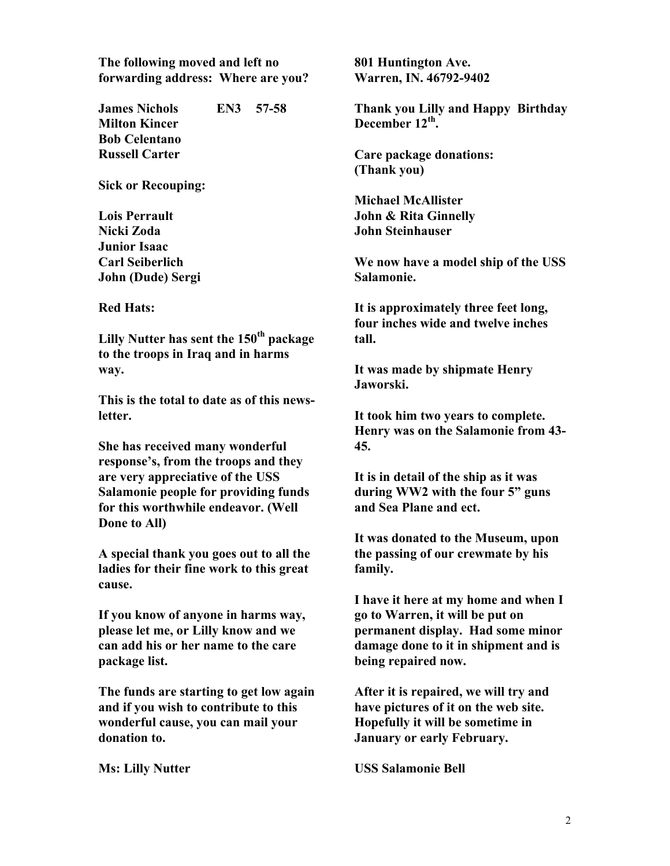**The following moved and left no 801 Huntington Ave. forwarding address: Where are you? Warren, IN. 46792-9402** 

**James Nichols EN3 57-58 Milton Kincer Bob Celentano Russell Carter Care package donations:** 

**Sick or Recouping:** 

**Nicki Zoda John Steinhauser Junior Isaac John (Dude) Sergi** Salamonie.

**Lilly Nutter has sent the 150<sup>th</sup> package tall. to the troops in Iraq and in harms way. It was made by shipmate Henry** 

**This is the total to date as of this newsletter. It took him two years to complete.** 

**She has received many wonderful 45. response's, from the troops and they are very appreciative of the USS Salamonie people for providing funds for this worthwhile endeavor. (Well Done to All)** 

**A special thank you goes out to all the ladies for their fine work to this great cause.** 

**If you know of anyone in harms way, please let me, or Lilly know and we can add his or her name to the care package list.** 

**The funds are starting to get low again and if you wish to contribute to this wonderful cause, you can mail your donation to.** 

**Thank you Lilly and Happy Birthday**  December 12<sup>th</sup>.

**(Thank you)** 

**Michael McAllister Lois Perrault John & Rita Ginnelly** 

**Carl Seiberlich We now have a model ship of the USS** 

**Red Hats: It is approximately three feet long, four inches wide and twelve inches** 

**Jaworski.** 

**Henry was on the Salamonie from 43-**

**It is in detail of the ship as it was during WW2 with the four 5" guns and Sea Plane and ect.** 

**It was donated to the Museum, upon the passing of our crewmate by his family.** 

**I have it here at my home and when I go to Warren, it will be put on permanent display. Had some minor damage done to it in shipment and is being repaired now.**

**After it is repaired, we will try and have pictures of it on the web site. Hopefully it will be sometime in January or early February.** 

**Ms: Lilly Nutter USS Salamonie Bell**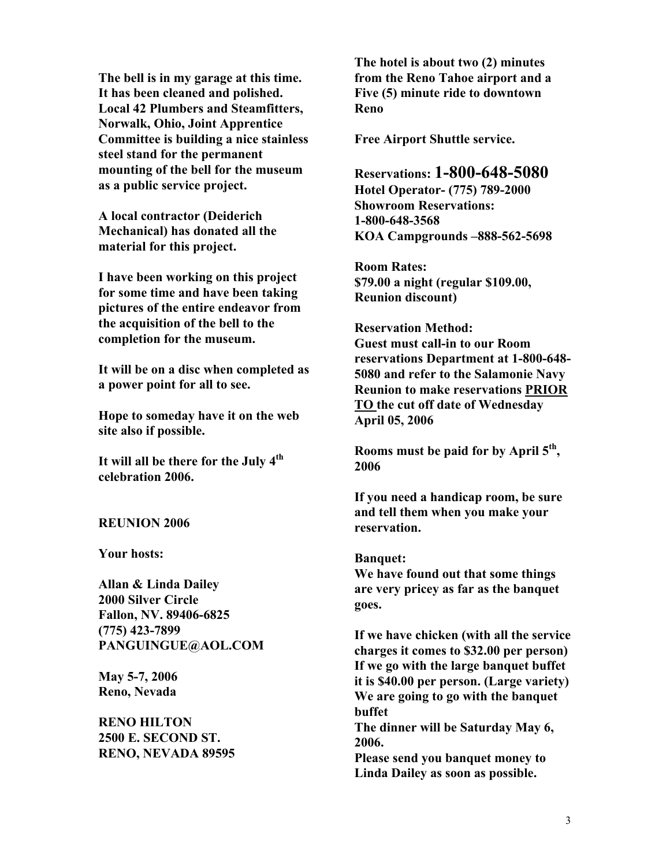**The bell is in my garage at this time. It has been cleaned and polished. Local 42 Plumbers and Steamfitters, Norwalk, Ohio, Joint Apprentice Committee is building a nice stainless steel stand for the permanent mounting of the bell for the museum as a public service project.** 

**A local contractor (Deiderich Mechanical) has donated all the material for this project.** 

**I have been working on this project for some time and have been taking pictures of the entire endeavor from the acquisition of the bell to the completion for the museum.** 

**It will be on a disc when completed as a power point for all to see.** 

**Hope to someday have it on the web site also if possible.** 

It will all be there for the July 4<sup>th</sup> 2006 **celebration 2006.** 

## **reservation. reservation.**

**Your hosts: Banquet:** 

**Allan & Linda Dailey 2000 Silver Circle Fallon, NV. 89406-6825** 

**2500 E. SECOND ST.** 2006.<br>**RENO, NEVADA 89595** Ploss

**The hotel is about two (2) minutes from the Reno Tahoe airport and a Five (5) minute ride to downtown Reno** 

**Free Airport Shuttle service.** 

**Reservations: 1-800-648-5080 Hotel Operator- (775) 789-2000 Showroom Reservations: 1-800-648-3568 KOA Campgrounds –888-562-5698** 

**Room Rates: \$79.00 a night (regular \$109.00, Reunion discount)** 

**Reservation Method: Guest must call-in to our Room reservations Department at 1-800-648- 5080 and refer to the Salamonie Navy Reunion to make reservations PRIOR TO the cut off date of Wednesday April 05, 2006** 

**Rooms must be paid for by April 5th,** 

**If you need a handicap room, be sure and tell them when you make your** 

**We have found out that some things are very pricey as far as the banquet goes.** 

**(775) 423-7899 If we have chicken (with all the service**  charges it comes to \$32.00 per person) **If we go with the large banquet buffet**<br>May 5-7, 2006 it is \$40.00 per person. (Large variety)<br>We are going to go with the banquet<br>We are going to go with the banquet **buffet RENO HILTON** The dinner will be Saturday May 6,

Please send you banquet money to **Linda Dailey as soon as possible.**